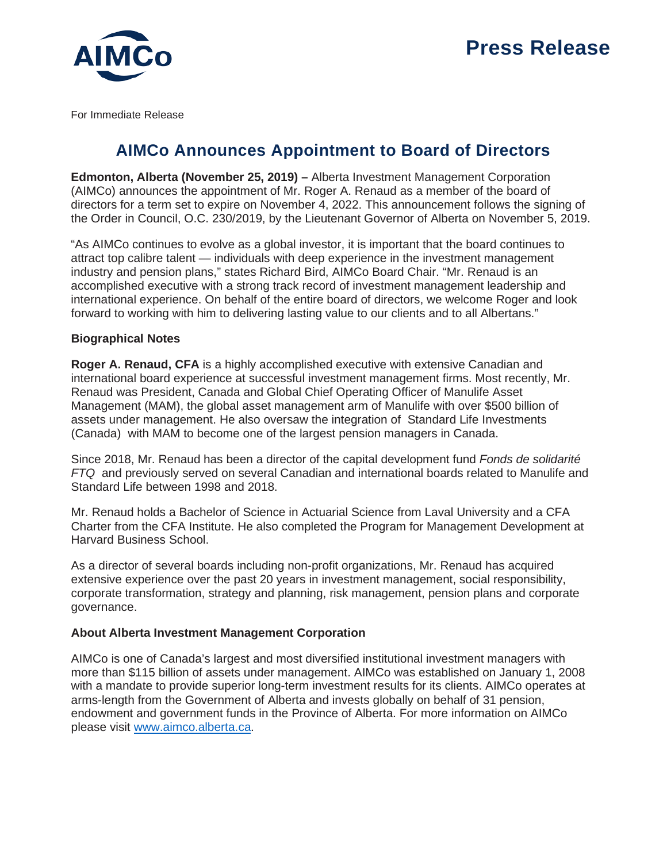

For Immediate Release

## **AIMCo Announces Appointment to Board of Directors**

**Edmonton, Alberta (November 25, 2019) –** Alberta Investment Management Corporation (AIMCo) announces the appointment of Mr. Roger A. Renaud as a member of the board of directors for a term set to expire on November 4, 2022. This announcement follows the signing of the Order in Council, O.C. 230/2019, by the Lieutenant Governor of Alberta on November 5, 2019.

"As AIMCo continues to evolve as a global investor, it is important that the board continues to attract top calibre talent — individuals with deep experience in the investment management industry and pension plans," states Richard Bird, AIMCo Board Chair. "Mr. Renaud is an accomplished executive with a strong track record of investment management leadership and international experience. On behalf of the entire board of directors, we welcome Roger and look forward to working with him to delivering lasting value to our clients and to all Albertans."

## **Biographical Notes**

**Roger A. Renaud, CFA** is a highly accomplished executive with extensive Canadian and international board experience at successful investment management firms. Most recently, Mr. Renaud was President, Canada and Global Chief Operating Officer of Manulife Asset Management (MAM), the global asset management arm of Manulife with over \$500 billion of assets under management. He also oversaw the integration of Standard Life Investments (Canada) with MAM to become one of the largest pension managers in Canada.

Since 2018, Mr. Renaud has been a director of the capital development fund *Fonds de solidarité FTQ* and previously served on several Canadian and international boards related to Manulife and Standard Life between 1998 and 2018.

Mr. Renaud holds a Bachelor of Science in Actuarial Science from Laval University and a CFA Charter from the CFA Institute. He also completed the Program for Management Development at Harvard Business School.

As a director of several boards including non-profit organizations, Mr. Renaud has acquired extensive experience over the past 20 years in investment management, social responsibility, corporate transformation, strategy and planning, risk management, pension plans and corporate governance.

## **About Alberta Investment Management Corporation**

AIMCo is one of Canada's largest and most diversified institutional investment managers with more than \$115 billion of assets under management. AIMCo was established on January 1, 2008 with a mandate to provide superior long-term investment results for its clients. AIMCo operates at arms-length from the Government of Alberta and invests globally on behalf of 31 pension, endowment and government funds in the Province of Alberta. For more information on AIMCo please visit [www.aimco.alberta.ca.](http://www.aimco.alberta.ca/)